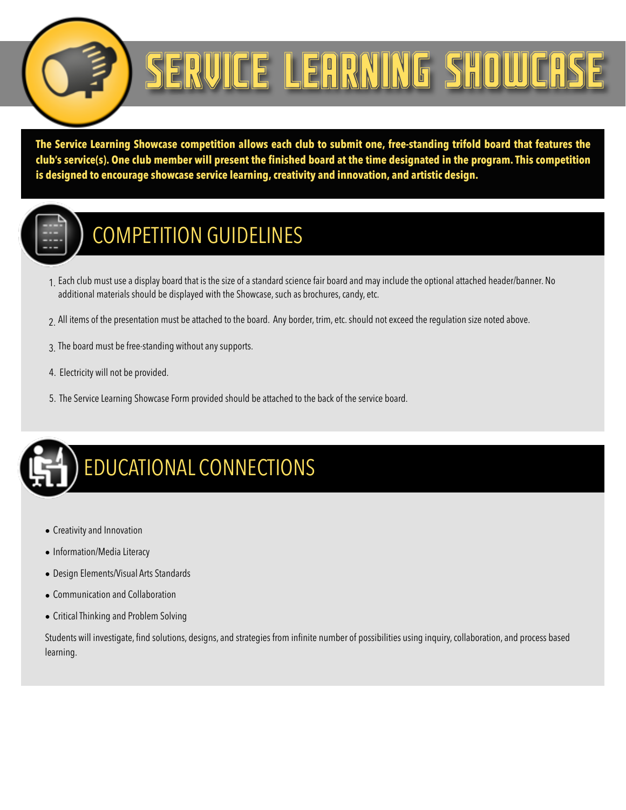

# ERVICE LEARNING SHOWCA

**The Service Learning Showcase competition allows each club to submit one, free-standing trifold board that features the club's service(s). One club member will present the finished board at the time designated in the program. This competition is designed to encourage showcase service learning, creativity and innovation, and artistic design.**



#### COMPETITION GUIDELINES

- 1. Each club must use a display board that is the size of a standard science fair board and may include the optional attached header/banner. No additional materials should be displayed with the Showcase, such as brochures, candy, etc.
- 2. All items of the presentation must be attached to the board. Any border, trim, etc. should not exceed the regulation size noted above.
- 3. The board must be free-standing without any supports.
- 4. Electricity will not be provided.
- 5. The Service Learning Showcase Form provided should be attached to the back of the service board.



- Creativity and Innovation
- Information/Media Literacy
- Design Elements/Visual Arts Standards
- Communication and Collaboration
- Critical Thinking and Problem Solving

Students will investigate, find solutions, designs, and strategies from infinite number of possibilities using inquiry, collaboration, and process based learning.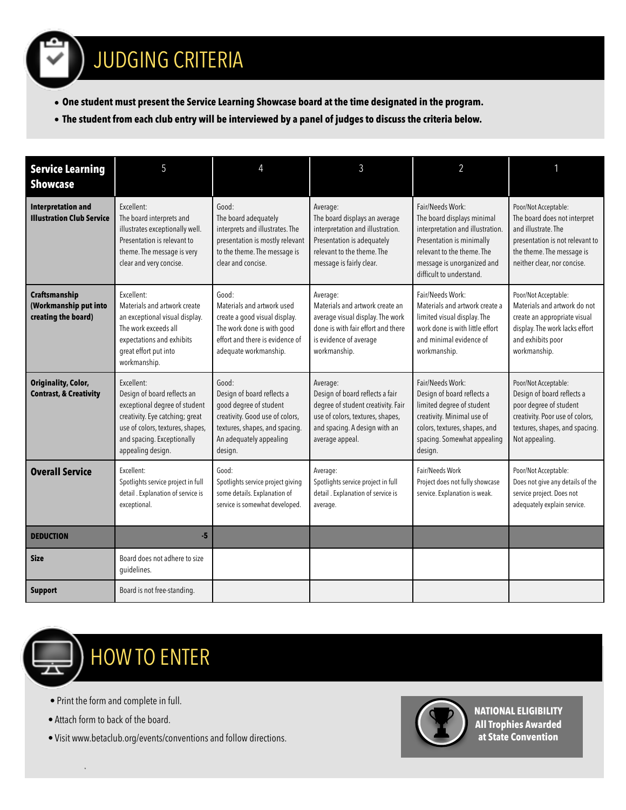### JUDGING CRITERIA

- **• One student must present the Service Learning Showcase board at the time designated in the program.**
- **• The student from each club entry will be interviewed by a panel of judges to discuss the criteria below.**

| <b>Service Learning</b><br><b>Showcase</b>                      | 5                                                                                                                                                                                                    |                                                                                                                                                                          | 3                                                                                                                                                                         | $\overline{2}$                                                                                                                                                                                          |                                                                                                                                                                            |
|-----------------------------------------------------------------|------------------------------------------------------------------------------------------------------------------------------------------------------------------------------------------------------|--------------------------------------------------------------------------------------------------------------------------------------------------------------------------|---------------------------------------------------------------------------------------------------------------------------------------------------------------------------|---------------------------------------------------------------------------------------------------------------------------------------------------------------------------------------------------------|----------------------------------------------------------------------------------------------------------------------------------------------------------------------------|
| <b>Interpretation and</b><br><b>Illustration Club Service</b>   | Excellent:<br>The board interprets and<br>illustrates exceptionally well.<br>Presentation is relevant to<br>theme. The message is very<br>clear and very concise.                                    | Good:<br>The board adequately<br>interprets and illustrates. The<br>presentation is mostly relevant<br>to the theme. The message is<br>clear and concise.                | Average:<br>The board displays an average<br>interpretation and illustration.<br>Presentation is adequately<br>relevant to the theme. The<br>message is fairly clear.     | Fair/Needs Work:<br>The board displays minimal<br>interpretation and illustration.<br>Presentation is minimally<br>relevant to the theme. The<br>message is unorganized and<br>difficult to understand. | Poor/Not Acceptable:<br>The board does not interpret<br>and illustrate. The<br>presentation is not relevant to<br>the theme. The message is<br>neither clear, nor concise. |
| Craftsmanship<br>(Workmanship put into<br>creating the board)   | Excellent:<br>Materials and artwork create<br>an exceptional visual display.<br>The work exceeds all<br>expectations and exhibits<br>great effort put into<br>workmanship.                           | Good:<br>Materials and artwork used<br>create a good visual display.<br>The work done is with good<br>effort and there is evidence of<br>adequate workmanship.           | Average:<br>Materials and artwork create an<br>average visual display. The work<br>done is with fair effort and there<br>is evidence of average<br>workmanship.           | Fair/Needs Work:<br>Materials and artwork create a<br>limited visual display. The<br>work done is with little effort<br>and minimal evidence of<br>workmanship.                                         | Poor/Not Acceptable:<br>Materials and artwork do not<br>create an appropriate visual<br>display. The work lacks effort<br>and exhibits poor<br>workmanship.                |
| <b>Originality, Color,</b><br><b>Contrast, &amp; Creativity</b> | Excellent:<br>Design of board reflects an<br>exceptional degree of student<br>creativity. Eye catching; great<br>use of colors, textures, shapes,<br>and spacing. Exceptionally<br>appealing design. | Good:<br>Design of board reflects a<br>good degree of student<br>creativity. Good use of colors,<br>textures, shapes, and spacing.<br>An adequately appealing<br>design. | Average:<br>Design of board reflects a fair<br>degree of student creativity. Fair<br>use of colors, textures, shapes,<br>and spacing. A design with an<br>average appeal. | Fair/Needs Work:<br>Design of board reflects a<br>limited degree of student<br>creativity. Minimal use of<br>colors, textures, shapes, and<br>spacing. Somewhat appealing<br>design.                    | Poor/Not Acceptable:<br>Design of board reflects a<br>poor degree of student<br>creativity. Poor use of colors,<br>textures, shapes, and spacing.<br>Not appealing.        |
| <b>Overall Service</b>                                          | Excellent:<br>Spotlights service project in full<br>detail . Explanation of service is<br>exceptional.                                                                                               | Good:<br>Spotlights service project giving<br>some details. Explanation of<br>service is somewhat developed.                                                             | Average:<br>Spotlights service project in full<br>detail . Explanation of service is<br>average.                                                                          | Fair/Needs Work<br>Project does not fully showcase<br>service. Explanation is weak.                                                                                                                     | Poor/Not Acceptable:<br>Does not give any details of the<br>service project. Does not<br>adequately explain service.                                                       |
| <b>DEDUCTION</b>                                                | $-5$                                                                                                                                                                                                 |                                                                                                                                                                          |                                                                                                                                                                           |                                                                                                                                                                                                         |                                                                                                                                                                            |
| <b>Size</b>                                                     | Board does not adhere to size<br>guidelines.                                                                                                                                                         |                                                                                                                                                                          |                                                                                                                                                                           |                                                                                                                                                                                                         |                                                                                                                                                                            |
| <b>Support</b>                                                  | Board is not free-standing.                                                                                                                                                                          |                                                                                                                                                                          |                                                                                                                                                                           |                                                                                                                                                                                                         |                                                                                                                                                                            |



## HOW TO ENTER

- Print the form and complete in full.
- Attach form to back of the board.

\*

• Visit www.betaclub.org/events/conventions and follow directions.



**NATIONAL ELIGIBILITY All Trophies Awarded at State Convention**